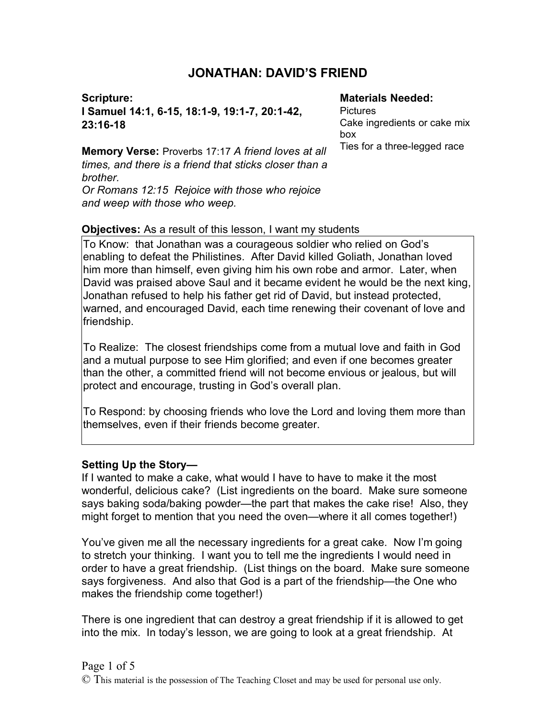# **JONATHAN: DAVID'S FRIEND**

**Scripture: I Samuel 14:1, 6-15, 18:1-9, 19:1-7, 20:1-42, 23:16-18**

#### **Materials Needed:**

**Pictures** Cake ingredients or cake mix box Ties for a three-legged race

**Memory Verse:** Proverbs 17:17 *A friend loves at all times, and there is a friend that sticks closer than a brother. Or Romans 12:15 Rejoice with those who rejoice and weep with those who weep.*

### **Objectives:** As a result of this lesson, I want my students

To Know: that Jonathan was a courageous soldier who relied on God's enabling to defeat the Philistines. After David killed Goliath, Jonathan loved him more than himself, even giving him his own robe and armor. Later, when David was praised above Saul and it became evident he would be the next king, Jonathan refused to help his father get rid of David, but instead protected, warned, and encouraged David, each time renewing their covenant of love and friendship.

To Realize: The closest friendships come from a mutual love and faith in God and a mutual purpose to see Him glorified; and even if one becomes greater than the other, a committed friend will not become envious or jealous, but will protect and encourage, trusting in God's overall plan.

To Respond: by choosing friends who love the Lord and loving them more than themselves, even if their friends become greater.

### **Setting Up the Story—**

If I wanted to make a cake, what would I have to have to make it the most wonderful, delicious cake? (List ingredients on the board. Make sure someone says baking soda/baking powder—the part that makes the cake rise! Also, they might forget to mention that you need the oven—where it all comes together!)

You've given me all the necessary ingredients for a great cake. Now I'm going to stretch your thinking. I want you to tell me the ingredients I would need in order to have a great friendship. (List things on the board. Make sure someone says forgiveness. And also that God is a part of the friendship—the One who makes the friendship come together!)

There is one ingredient that can destroy a great friendship if it is allowed to get into the mix. In today's lesson, we are going to look at a great friendship. At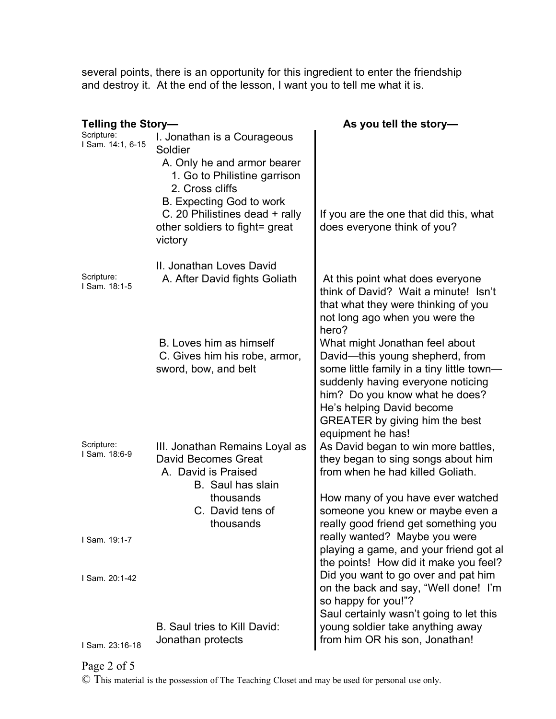several points, there is an opportunity for this ingredient to enter the friendship and destroy it. At the end of the lesson, I want you to tell me what it is.

| Telling the Story-              |                                                                                                                                                                                                                                     | As you tell the story-                                                                                                                                                                                                                                                    |
|---------------------------------|-------------------------------------------------------------------------------------------------------------------------------------------------------------------------------------------------------------------------------------|---------------------------------------------------------------------------------------------------------------------------------------------------------------------------------------------------------------------------------------------------------------------------|
| Scripture:<br>I Sam. 14:1, 6-15 | I. Jonathan is a Courageous<br>Soldier<br>A. Only he and armor bearer<br>1. Go to Philistine garrison<br>2. Cross cliffs<br>B. Expecting God to work<br>C. 20 Philistines dead + rally<br>other soldiers to fight= great<br>victory | If you are the one that did this, what<br>does everyone think of you?                                                                                                                                                                                                     |
| Scripture:<br>I Sam. 18:1-5     | II. Jonathan Loves David<br>A. After David fights Goliath                                                                                                                                                                           | At this point what does everyone<br>think of David? Wait a minute! Isn't<br>that what they were thinking of you<br>not long ago when you were the<br>hero?                                                                                                                |
|                                 | B. Loves him as himself<br>C. Gives him his robe, armor,<br>sword, bow, and belt                                                                                                                                                    | What might Jonathan feel about<br>David-this young shepherd, from<br>some little family in a tiny little town-<br>suddenly having everyone noticing<br>him? Do you know what he does?<br>He's helping David become<br>GREATER by giving him the best<br>equipment he has! |
| Scripture:<br>I Sam. 18:6-9     | III. Jonathan Remains Loyal as<br>David Becomes Great<br>A. David is Praised<br><b>B.</b> Saul has slain<br>thousands<br>C. David tens of<br>thousands                                                                              | As David began to win more battles,<br>they began to sing songs about him<br>from when he had killed Goliath.<br>How many of you have ever watched<br>someone you knew or maybe even a<br>really good friend get something you                                            |
| I Sam. 19:1-7                   |                                                                                                                                                                                                                                     | really wanted? Maybe you were<br>playing a game, and your friend got al<br>the points! How did it make you feel?                                                                                                                                                          |
| I Sam. 20:1-42                  |                                                                                                                                                                                                                                     | Did you want to go over and pat him<br>on the back and say, "Well done! I'm<br>so happy for you!"?<br>Saul certainly wasn't going to let this                                                                                                                             |
| I Sam. 23:16-18                 | B. Saul tries to Kill David:<br>Jonathan protects                                                                                                                                                                                   | young soldier take anything away<br>from him OR his son, Jonathan!                                                                                                                                                                                                        |

## Page 2 of 5

© This material is the possession of The Teaching Closet and may be used for personal use only.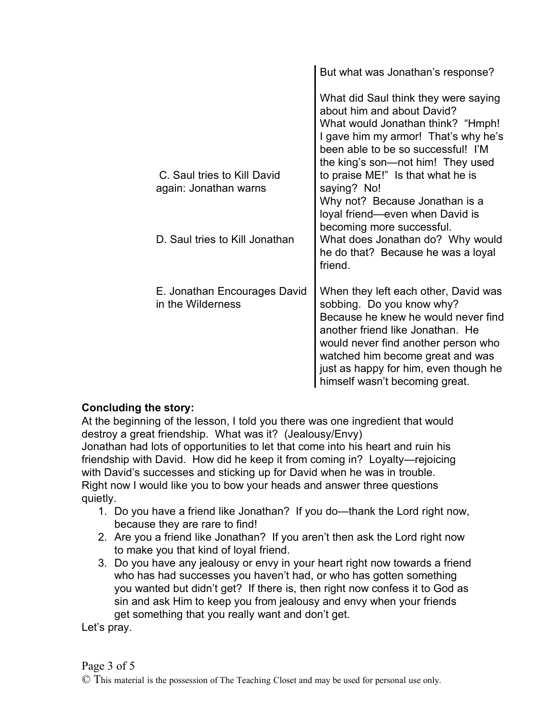|                                                      | But what was Jonathan's response?                                                                                                                                                                                                                                                                                                                                                                                                                                     |
|------------------------------------------------------|-----------------------------------------------------------------------------------------------------------------------------------------------------------------------------------------------------------------------------------------------------------------------------------------------------------------------------------------------------------------------------------------------------------------------------------------------------------------------|
| C. Saul tries to Kill David<br>again: Jonathan warns | What did Saul think they were saying<br>about him and about David?<br>What would Jonathan think? "Hmph!<br>I gave him my armor! That's why he's<br>been able to be so successful! I'M<br>the king's son—not him! They used<br>to praise ME!" Is that what he is<br>saying? No!<br>Why not? Because Jonathan is a<br>loyal friend—even when David is<br>becoming more successful.<br>What does Jonathan do? Why would<br>he do that? Because he was a loyal<br>friend. |
| D. Saul tries to Kill Jonathan                       |                                                                                                                                                                                                                                                                                                                                                                                                                                                                       |
| E. Jonathan Encourages David<br>in the Wilderness    | When they left each other, David was<br>sobbing. Do you know why?<br>Because he knew he would never find<br>another friend like Jonathan. He<br>would never find another person who<br>watched him become great and was<br>just as happy for him, even though he<br>himself wasn't becoming great.                                                                                                                                                                    |

## **Concluding the story:**

At the beginning of the lesson, I told you there was one ingredient that would destroy a great friendship. What was it? (Jealousy/Envy) Jonathan had lots of opportunities to let that come into his heart and ruin his friendship with David. How did he keep it from coming in? Loyalty—rejoicing with David's successes and sticking up for David when he was in trouble. Right now I would like you to bow your heads and answer three questions quietly.

- 1. Do you have a friend like Jonathan? If you do—thank the Lord right now, because they are rare to find!
- 2. Are you a friend like Jonathan? If you aren't then ask the Lord right now to make you that kind of loyal friend.
- 3. Do you have any jealousy or envy in your heart right now towards a friend who has had successes you haven't had, or who has gotten something you wanted but didn't get? If there is, then right now confess it to God as sin and ask Him to keep you from jealousy and envy when your friends get something that you really want and don't get.

Let's pray.

© This material is the possession of The Teaching Closet and may be used for personal use only.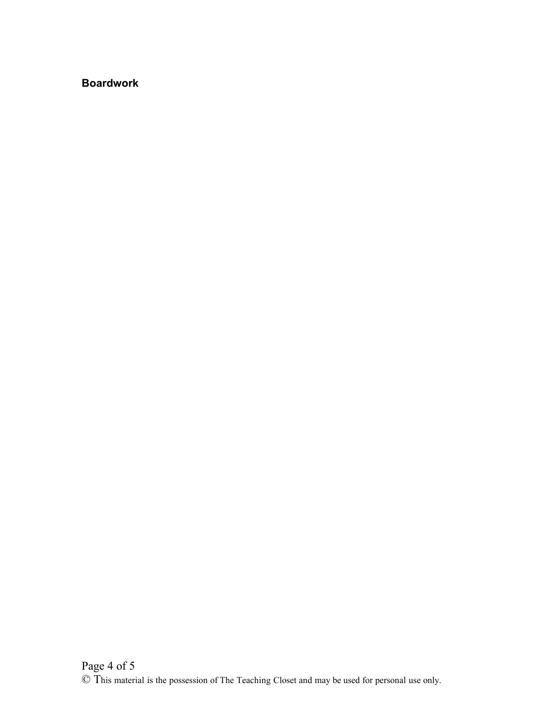## **Boardwork**